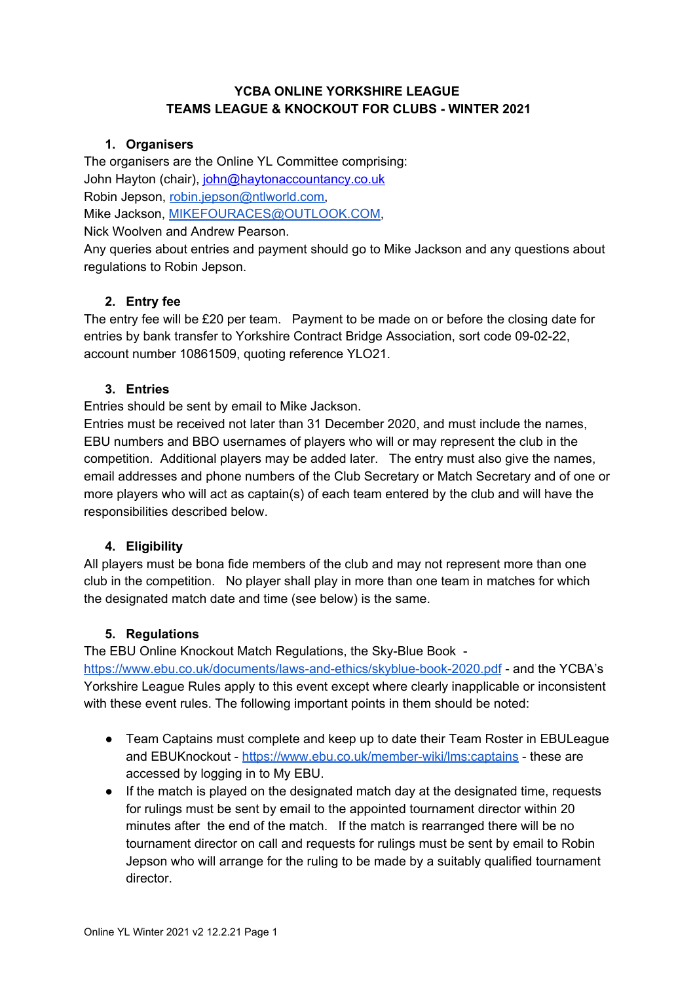# **YCBA ONLINE YORKSHIRE LEAGUE TEAMS LEAGUE & KNOCKOUT FOR CLUBS - WINTER 2021**

# **1. Organisers**

The organisers are the Online YL Committee comprising: John Hayton (chair), john@haytonaccountancy.co.uk Robin Jepson, [robin.jepson@ntlworld.com](mailto:robin.jepson@ntlworld.com), Mike Jackson, [MIKEFOURACES@OUTLOOK.COM,](mailto:MIKEFOURACES@OUTLOOK.COM)

Nick Woolven and Andrew Pearson.

Any queries about entries and payment should go to Mike Jackson and any questions about regulations to Robin Jepson.

#### **2. Entry fee**

The entry fee will be £20 per team. Payment to be made on or before the closing date for entries by bank transfer to Yorkshire Contract Bridge Association, sort code 09-02-22, account number 10861509, quoting reference YLO21.

#### **3. Entries**

Entries should be sent by email to Mike Jackson.

Entries must be received not later than 31 December 2020, and must include the names, EBU numbers and BBO usernames of players who will or may represent the club in the competition. Additional players may be added later. The entry must also give the names, email addresses and phone numbers of the Club Secretary or Match Secretary and of one or more players who will act as captain(s) of each team entered by the club and will have the responsibilities described below.

# **4. Eligibility**

All players must be bona fide members of the club and may not represent more than one club in the competition. No player shall play in more than one team in matches for which the designated match date and time (see below) is the same.

#### **5. Regulations**

The EBU Online Knockout Match Regulations, the Sky-Blue Book -

<https://www.ebu.co.uk/documents/laws-and-ethics/skyblue-book-2020.pdf> - and the YCBA's Yorkshire League Rules apply to this event except where clearly inapplicable or inconsistent with these event rules. The following important points in them should be noted:

- Team Captains must complete and keep up to date their Team Roster in EBULeague and EBUKnockout - <https://www.ebu.co.uk/member-wiki/lms:captains> - these are accessed by logging in to My EBU.
- If the match is played on the designated match day at the designated time, requests for rulings must be sent by email to the appointed tournament director within 20 minutes after the end of the match. If the match is rearranged there will be no tournament director on call and requests for rulings must be sent by email to Robin Jepson who will arrange for the ruling to be made by a suitably qualified tournament director.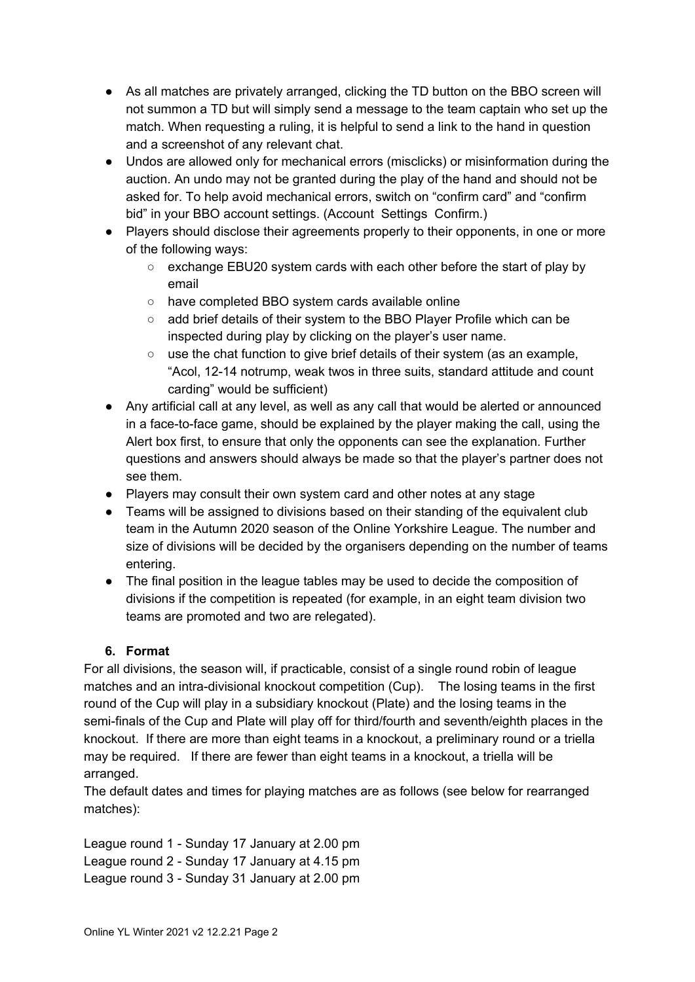- As all matches are privately arranged, clicking the TD button on the BBO screen will not summon a TD but will simply send a message to the team captain who set up the match. When requesting a ruling, it is helpful to send a link to the hand in question and a screenshot of any relevant chat.
- Undos are allowed only for mechanical errors (misclicks) or misinformation during the auction. An undo may not be granted during the play of the hand and should not be asked for. To help avoid mechanical errors, switch on "confirm card" and "confirm bid" in your BBO account settings. (Account Settings Confirm.)
- Players should disclose their agreements properly to their opponents, in one or more of the following ways:
	- exchange EBU20 system cards with each other before the start of play by email
	- have completed BBO system cards available online
	- add brief details of their system to the BBO Player Profile which can be inspected during play by clicking on the player's user name.
	- use the chat function to give brief details of their system (as an example, "Acol, 12-14 notrump, weak twos in three suits, standard attitude and count carding" would be sufficient)
- Any artificial call at any level, as well as any call that would be alerted or announced in a face-to-face game, should be explained by the player making the call, using the Alert box first, to ensure that only the opponents can see the explanation. Further questions and answers should always be made so that the player's partner does not see them.
- Players may consult their own system card and other notes at any stage
- Teams will be assigned to divisions based on their standing of the equivalent club team in the Autumn 2020 season of the Online Yorkshire League. The number and size of divisions will be decided by the organisers depending on the number of teams entering.
- The final position in the league tables may be used to decide the composition of divisions if the competition is repeated (for example, in an eight team division two teams are promoted and two are relegated).

# **6. Format**

For all divisions, the season will, if practicable, consist of a single round robin of league matches and an intra-divisional knockout competition (Cup). The losing teams in the first round of the Cup will play in a subsidiary knockout (Plate) and the losing teams in the semi-finals of the Cup and Plate will play off for third/fourth and seventh/eighth places in the knockout. If there are more than eight teams in a knockout, a preliminary round or a triella may be required. If there are fewer than eight teams in a knockout, a triella will be arranged.

The default dates and times for playing matches are as follows (see below for rearranged matches):

League round 1 - Sunday 17 January at 2.00 pm League round 2 - Sunday 17 January at 4.15 pm League round 3 - Sunday 31 January at 2.00 pm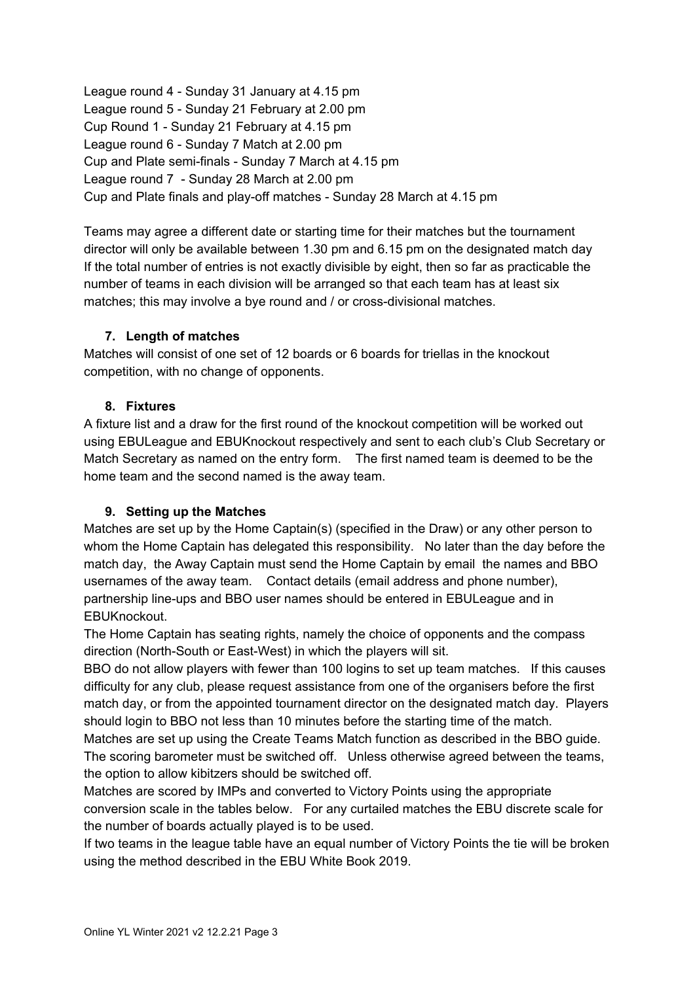League round 4 - Sunday 31 January at 4.15 pm League round 5 - Sunday 21 February at 2.00 pm Cup Round 1 - Sunday 21 February at 4.15 pm League round 6 - Sunday 7 Match at 2.00 pm Cup and Plate semi-finals - Sunday 7 March at 4.15 pm League round 7 - Sunday 28 March at 2.00 pm Cup and Plate finals and play-off matches - Sunday 28 March at 4.15 pm

Teams may agree a different date or starting time for their matches but the tournament director will only be available between 1.30 pm and 6.15 pm on the designated match day If the total number of entries is not exactly divisible by eight, then so far as practicable the number of teams in each division will be arranged so that each team has at least six matches; this may involve a bye round and / or cross-divisional matches.

# **7. Length of matches**

Matches will consist of one set of 12 boards or 6 boards for triellas in the knockout competition, with no change of opponents.

#### **8. Fixtures**

A fixture list and a draw for the first round of the knockout competition will be worked out using EBULeague and EBUKnockout respectively and sent to each club's Club Secretary or Match Secretary as named on the entry form. The first named team is deemed to be the home team and the second named is the away team.

# **9. Setting up the Matches**

Matches are set up by the Home Captain(s) (specified in the Draw) or any other person to whom the Home Captain has delegated this responsibility. No later than the day before the match day, the Away Captain must send the Home Captain by email the names and BBO usernames of the away team. Contact details (email address and phone number), partnership line-ups and BBO user names should be entered in EBULeague and in EBUKnockout.

The Home Captain has seating rights, namely the choice of opponents and the compass direction (North-South or East-West) in which the players will sit.

BBO do not allow players with fewer than 100 logins to set up team matches. If this causes difficulty for any club, please request assistance from one of the organisers before the first match day, or from the appointed tournament director on the designated match day. Players should login to BBO not less than 10 minutes before the starting time of the match. Matches are set up using the Create Teams Match function as described in the BBO guide. The scoring barometer must be switched off. Unless otherwise agreed between the teams,

the option to allow kibitzers should be switched off.

Matches are scored by IMPs and converted to Victory Points using the appropriate conversion scale in the tables below. For any curtailed matches the EBU discrete scale for the number of boards actually played is to be used.

If two teams in the league table have an equal number of Victory Points the tie will be broken using the method described in the EBU White Book 2019.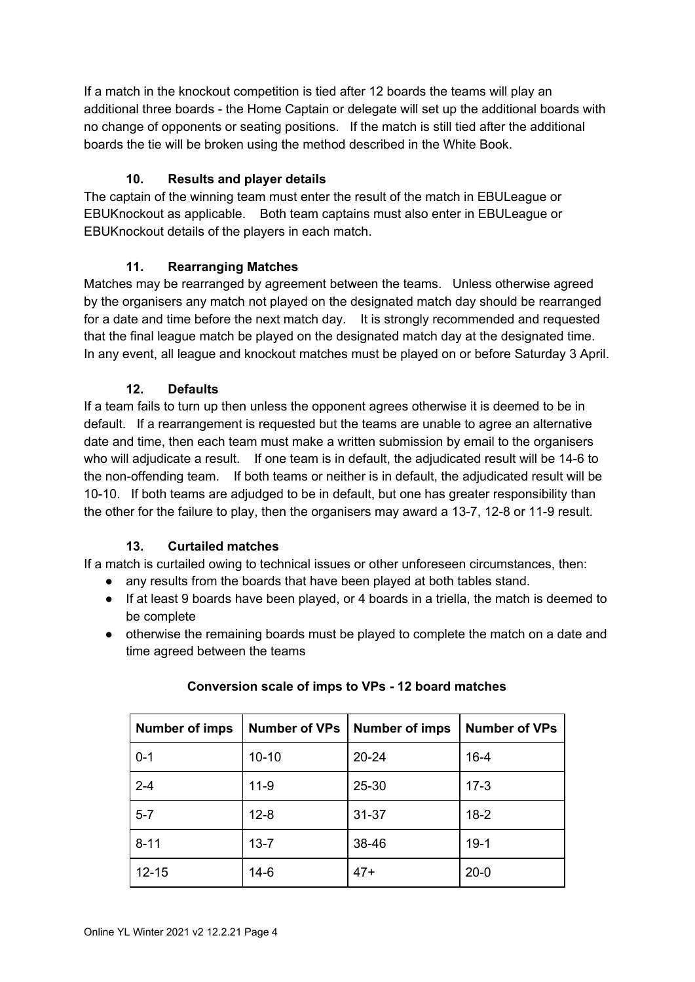If a match in the knockout competition is tied after 12 boards the teams will play an additional three boards - the Home Captain or delegate will set up the additional boards with no change of opponents or seating positions. If the match is still tied after the additional boards the tie will be broken using the method described in the White Book.

# **10. Results and player details**

The captain of the winning team must enter the result of the match in EBULeague or EBUKnockout as applicable. Both team captains must also enter in EBULeague or EBUKnockout details of the players in each match.

# **11. Rearranging Matches**

Matches may be rearranged by agreement between the teams. Unless otherwise agreed by the organisers any match not played on the designated match day should be rearranged for a date and time before the next match day. It is strongly recommended and requested that the final league match be played on the designated match day at the designated time. In any event, all league and knockout matches must be played on or before Saturday 3 April.

# **12. Defaults**

If a team fails to turn up then unless the opponent agrees otherwise it is deemed to be in default. If a rearrangement is requested but the teams are unable to agree an alternative date and time, then each team must make a written submission by email to the organisers who will adjudicate a result. If one team is in default, the adjudicated result will be 14-6 to the non-offending team. If both teams or neither is in default, the adjudicated result will be 10-10. If both teams are adjudged to be in default, but one has greater responsibility than the other for the failure to play, then the organisers may award a 13-7, 12-8 or 11-9 result.

# **13. Curtailed matches**

If a match is curtailed owing to technical issues or other unforeseen circumstances, then:

- any results from the boards that have been played at both tables stand.
- If at least 9 boards have been played, or 4 boards in a triella, the match is deemed to be complete
- otherwise the remaining boards must be played to complete the match on a date and time agreed between the teams

| <b>Number of imps</b> | <b>Number of VPs</b> | <b>Number of imps</b> | <b>Number of VPs</b> |
|-----------------------|----------------------|-----------------------|----------------------|
| $0 - 1$               | $10 - 10$            | $20 - 24$             | $16 - 4$             |
| $2 - 4$               | $11-9$               | 25-30                 | $17-3$               |
| $5 - 7$               | $12 - 8$             | $31 - 37$             | $18-2$               |
| $8 - 11$              | $13 - 7$             | 38-46                 | $19-1$               |
| $12 - 15$             | $14-6$               | $47+$                 | $20 - 0$             |

# **Conversion scale of imps to VPs - 12 board matches**